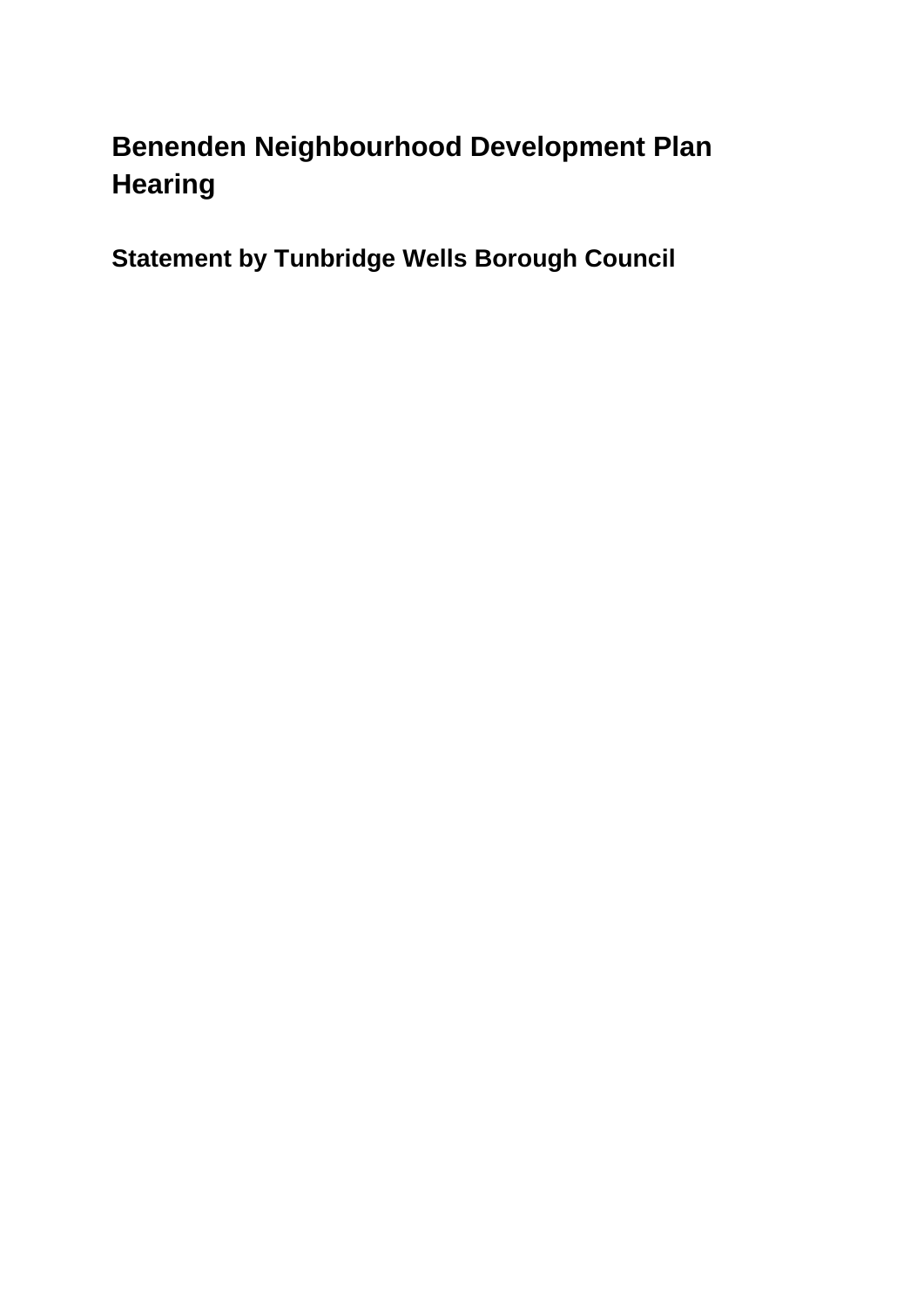# **Benenden Neighbourhood Development Plan Hearing**

**Statement by Tunbridge Wells Borough Council**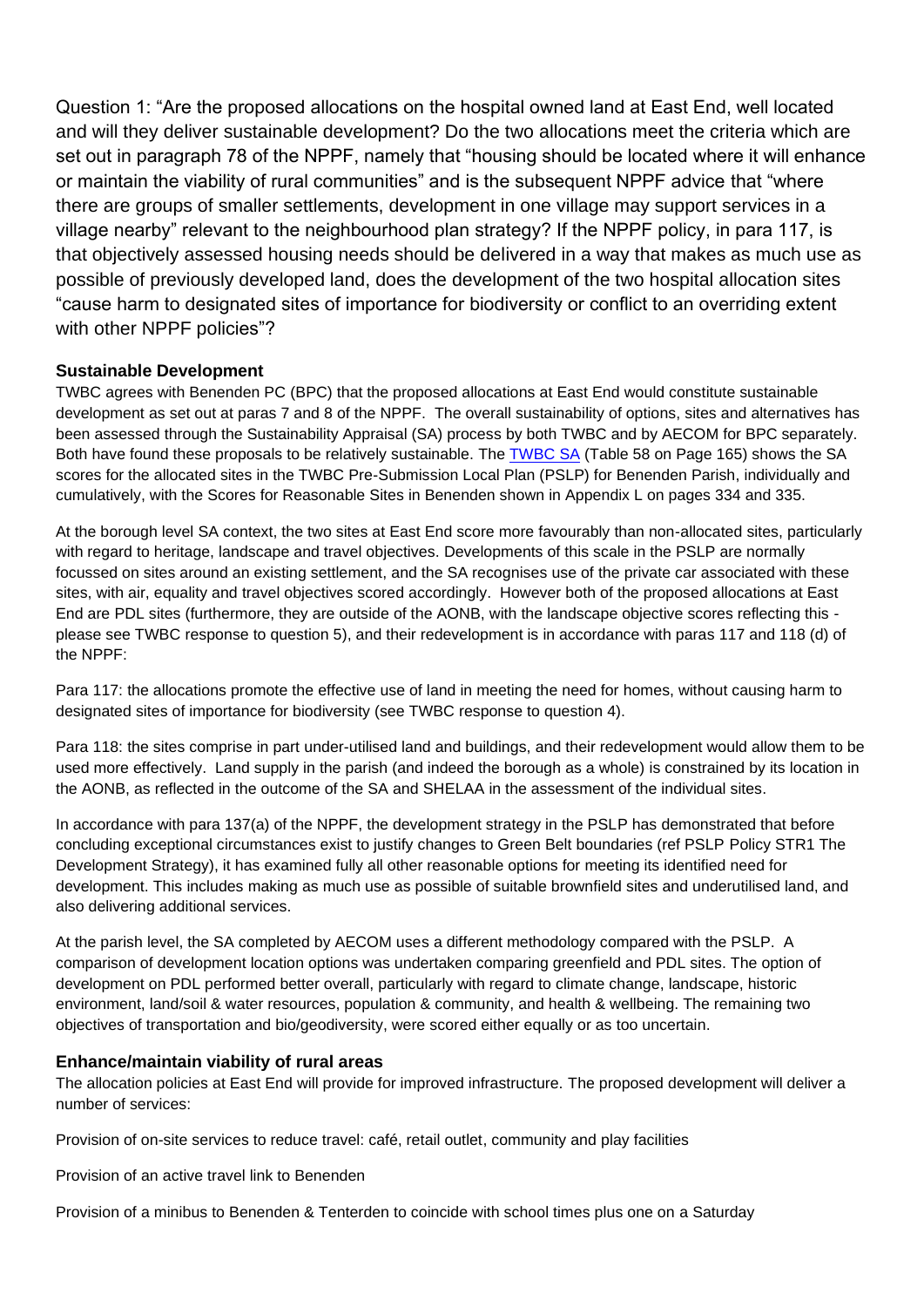Question 1: "Are the proposed allocations on the hospital owned land at East End, well located and will they deliver sustainable development? Do the two allocations meet the criteria which are set out in paragraph 78 of the NPPF, namely that "housing should be located where it will enhance or maintain the viability of rural communities" and is the subsequent NPPF advice that "where there are groups of smaller settlements, development in one village may support services in a village nearby" relevant to the neighbourhood plan strategy? If the NPPF policy, in para 117, is that objectively assessed housing needs should be delivered in a way that makes as much use as possible of previously developed land, does the development of the two hospital allocation sites "cause harm to designated sites of importance for biodiversity or conflict to an overriding extent with other NPPF policies"?

## **Sustainable Development**

TWBC agrees with Benenden PC (BPC) that the proposed allocations at East End would constitute sustainable development as set out at paras 7 and 8 of the NPPF. The overall sustainability of options, sites and alternatives has been assessed through the Sustainability Appraisal (SA) process by both TWBC and by AECOM for BPC separately. Both have found these proposals to be relatively sustainable. The [TWBC SA](https://tunbridgewells.gov.uk/__data/assets/pdf_file/0006/387798/Sustainability-Appraisal-for-PSLP_accessible_compressed.pdf) (Table 58 on Page 165) shows the SA scores for the allocated sites in the TWBC Pre-Submission Local Plan (PSLP) for Benenden Parish, individually and cumulatively, with the Scores for Reasonable Sites in Benenden shown in Appendix L on pages 334 and 335.

At the borough level SA context, the two sites at East End score more favourably than non-allocated sites, particularly with regard to heritage, landscape and travel objectives. Developments of this scale in the PSLP are normally focussed on sites around an existing settlement, and the SA recognises use of the private car associated with these sites, with air, equality and travel objectives scored accordingly. However both of the proposed allocations at East End are PDL sites (furthermore, they are outside of the AONB, with the landscape objective scores reflecting this please see TWBC response to question 5), and their redevelopment is in accordance with paras 117 and 118 (d) of the NPPF:

Para 117: the allocations promote the effective use of land in meeting the need for homes, without causing harm to designated sites of importance for biodiversity (see TWBC response to question 4).

Para 118: the sites comprise in part under-utilised land and buildings, and their redevelopment would allow them to be used more effectively. Land supply in the parish (and indeed the borough as a whole) is constrained by its location in the AONB, as reflected in the outcome of the SA and SHELAA in the assessment of the individual sites.

In accordance with para 137(a) of the NPPF, the development strategy in the PSLP has demonstrated that before concluding exceptional circumstances exist to justify changes to Green Belt boundaries (ref PSLP Policy STR1 The Development Strategy), it has examined fully all other reasonable options for meeting its identified need for development. This includes making as much use as possible of suitable brownfield sites and underutilised land, and also delivering additional services.

At the parish level, the SA completed by AECOM uses a different methodology compared with the PSLP. A comparison of development location options was undertaken comparing greenfield and PDL sites. The option of development on PDL performed better overall, particularly with regard to climate change, landscape, historic environment, land/soil & water resources, population & community, and health & wellbeing. The remaining two objectives of transportation and bio/geodiversity, were scored either equally or as too uncertain.

### **Enhance/maintain viability of rural areas**

The allocation policies at East End will provide for improved infrastructure. The proposed development will deliver a number of services:

Provision of on-site services to reduce travel: café, retail outlet, community and play facilities

Provision of an active travel link to Benenden

Provision of a minibus to Benenden & Tenterden to coincide with school times plus one on a Saturday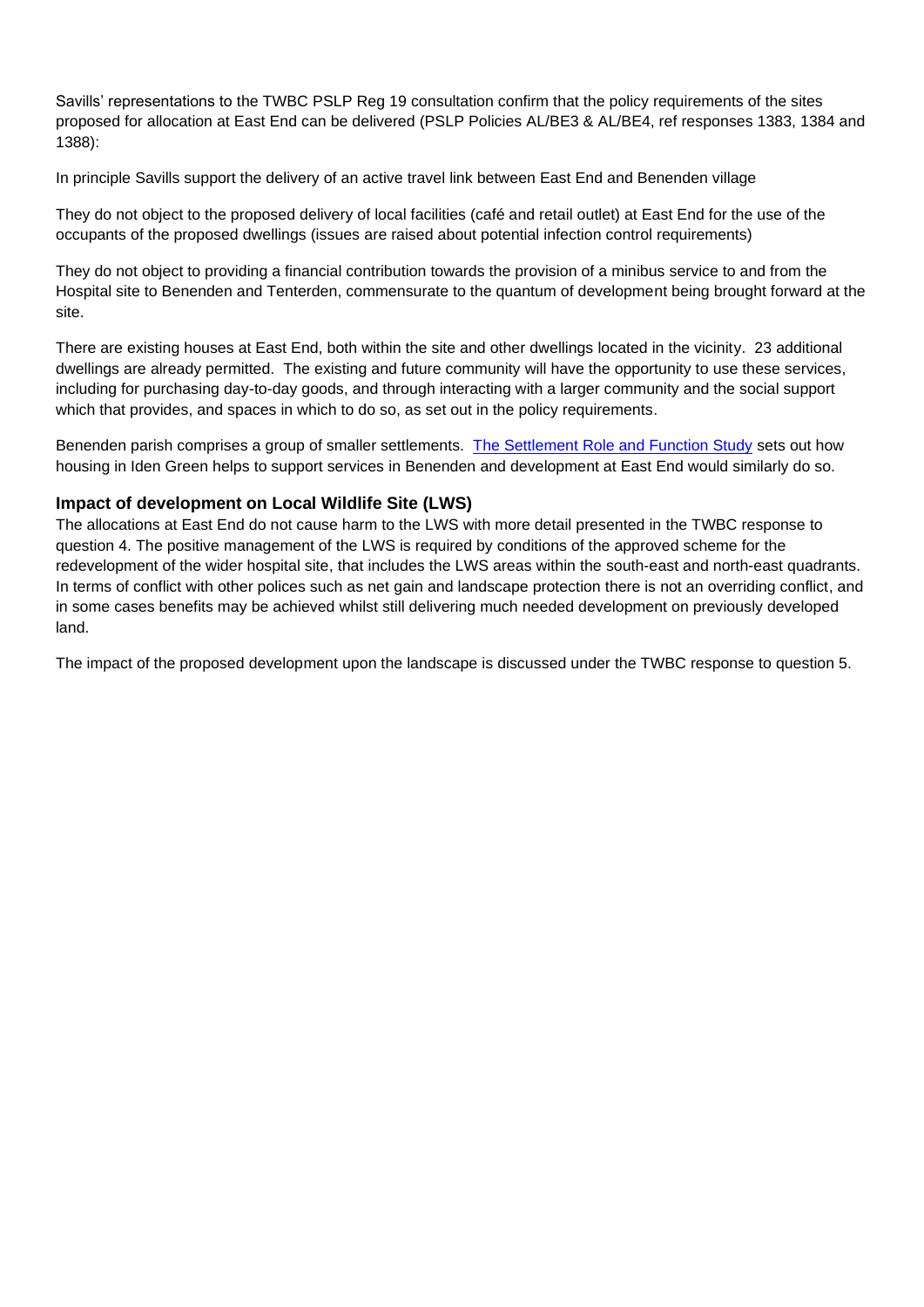Savills' representations to the TWBC PSLP Reg 19 consultation confirm that the policy requirements of the sites proposed for allocation at East End can be delivered (PSLP Policies AL/BE3 & AL/BE4, ref responses 1383, 1384 and 1388):

In principle Savills support the delivery of an active travel link between East End and Benenden village

They do not object to the proposed delivery of local facilities (café and retail outlet) at East End for the use of the occupants of the proposed dwellings (issues are raised about potential infection control requirements)

They do not object to providing a financial contribution towards the provision of a minibus service to and from the Hospital site to Benenden and Tenterden, commensurate to the quantum of development being brought forward at the site.

There are existing houses at East End, both within the site and other dwellings located in the vicinity. 23 additional dwellings are already permitted. The existing and future community will have the opportunity to use these services, including for purchasing day-to-day goods, and through interacting with a larger community and the social support which that provides, and spaces in which to do so, as set out in the policy requirements.

Benenden parish comprises a group of smaller settlements. [The Settlement Role and Function Study](https://tunbridgewells.gov.uk/__data/assets/pdf_file/0011/388028/Settlement-Role-and-Function-Study_2021.pdf) sets out how housing in Iden Green helps to support services in Benenden and development at East End would similarly do so.

#### **Impact of development on Local Wildlife Site (LWS)**

The allocations at East End do not cause harm to the LWS with more detail presented in the TWBC response to question 4. The positive management of the LWS is required by conditions of the approved scheme for the redevelopment of the wider hospital site, that includes the LWS areas within the south-east and north-east quadrants. In terms of conflict with other polices such as net gain and landscape protection there is not an overriding conflict, and in some cases benefits may be achieved whilst still delivering much needed development on previously developed land.

The impact of the proposed development upon the landscape is discussed under the TWBC response to question 5.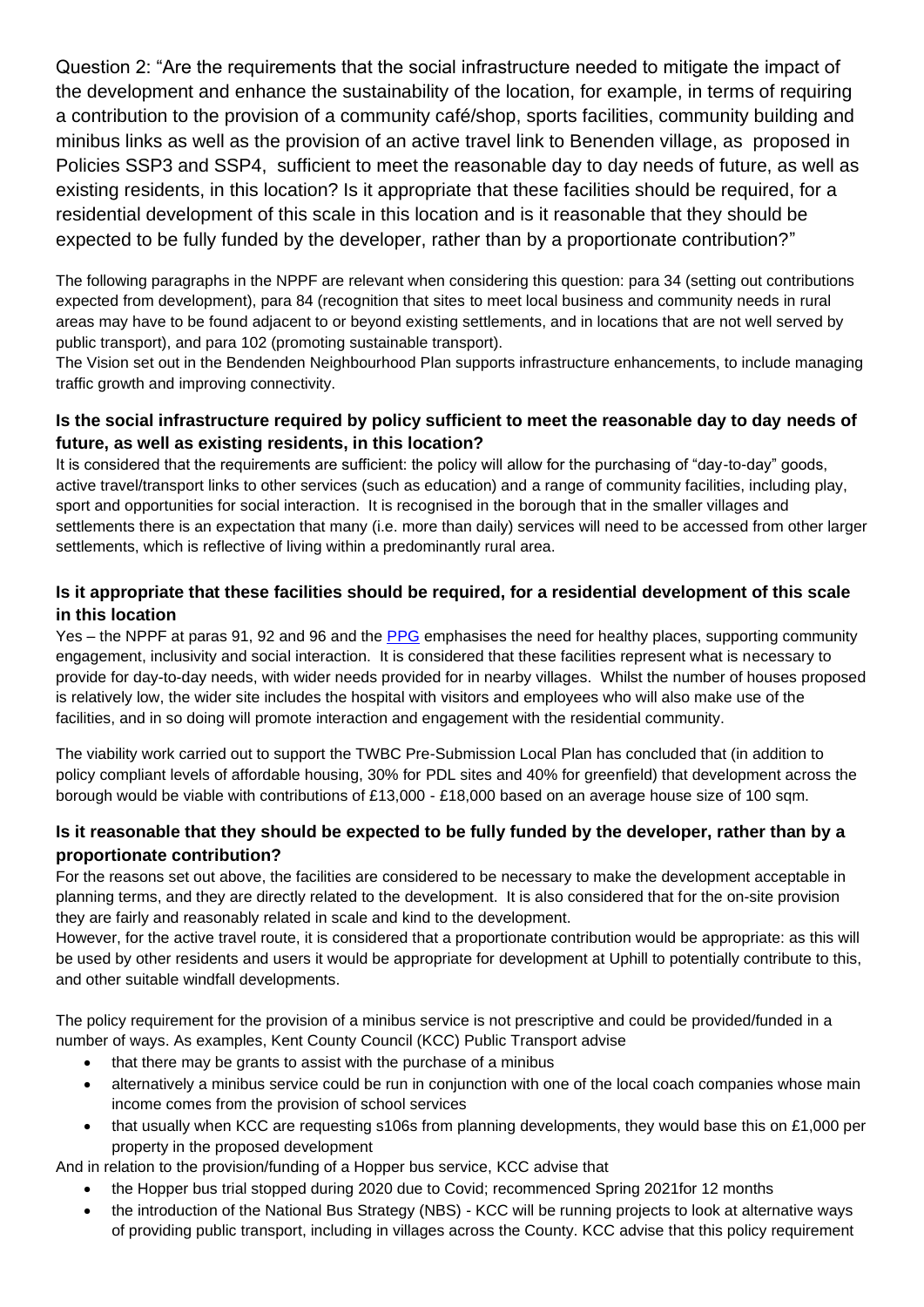Question 2: "Are the requirements that the social infrastructure needed to mitigate the impact of the development and enhance the sustainability of the location, for example, in terms of requiring a contribution to the provision of a community café/shop, sports facilities, community building and minibus links as well as the provision of an active travel link to Benenden village, as proposed in Policies SSP3 and SSP4, sufficient to meet the reasonable day to day needs of future, as well as existing residents, in this location? Is it appropriate that these facilities should be required, for a residential development of this scale in this location and is it reasonable that they should be expected to be fully funded by the developer, rather than by a proportionate contribution?"

The following paragraphs in the NPPF are relevant when considering this question: para 34 (setting out contributions expected from development), para 84 (recognition that sites to meet local business and community needs in rural areas may have to be found adjacent to or beyond existing settlements, and in locations that are not well served by public transport), and para 102 (promoting sustainable transport).

The Vision set out in the Bendenden Neighbourhood Plan supports infrastructure enhancements, to include managing traffic growth and improving connectivity.

## **Is the social infrastructure required by policy sufficient to meet the reasonable day to day needs of future, as well as existing residents, in this location?**

It is considered that the requirements are sufficient: the policy will allow for the purchasing of "day-to-day" goods, active travel/transport links to other services (such as education) and a range of community facilities, including play, sport and opportunities for social interaction. It is recognised in the borough that in the smaller villages and settlements there is an expectation that many (i.e. more than daily) services will need to be accessed from other larger settlements, which is reflective of living within a predominantly rural area.

## **Is it appropriate that these facilities should be required, for a residential development of this scale in this location**

Yes – the NPPF at paras 91, 92 and 96 and the [PPG](https://www.gov.uk/guidance/health-and-wellbeing) emphasises the need for healthy places, supporting community engagement, inclusivity and social interaction. It is considered that these facilities represent what is necessary to provide for day-to-day needs, with wider needs provided for in nearby villages. Whilst the number of houses proposed is relatively low, the wider site includes the hospital with visitors and employees who will also make use of the facilities, and in so doing will promote interaction and engagement with the residential community.

The viability work carried out to support the TWBC Pre-Submission Local Plan has concluded that (in addition to policy compliant levels of affordable housing, 30% for PDL sites and 40% for greenfield) that development across the borough would be viable with contributions of £13,000 - £18,000 based on an average house size of 100 sqm.

## **Is it reasonable that they should be expected to be fully funded by the developer, rather than by a proportionate contribution?**

For the reasons set out above, the facilities are considered to be necessary to make the development acceptable in planning terms, and they are directly related to the development. It is also considered that for the on-site provision they are fairly and reasonably related in scale and kind to the development.

However, for the active travel route, it is considered that a proportionate contribution would be appropriate: as this will be used by other residents and users it would be appropriate for development at Uphill to potentially contribute to this, and other suitable windfall developments.

The policy requirement for the provision of a minibus service is not prescriptive and could be provided/funded in a number of ways. As examples, Kent County Council (KCC) Public Transport advise

- that there may be grants to assist with the purchase of a minibus
- alternatively a minibus service could be run in conjunction with one of the local coach companies whose main income comes from the provision of school services
- that usually when KCC are requesting s106s from planning developments, they would base this on £1,000 per property in the proposed development

And in relation to the provision/funding of a Hopper bus service, KCC advise that

- the Hopper bus trial stopped during 2020 due to Covid; recommenced Spring 2021for 12 months
- the introduction of the National Bus Strategy (NBS) KCC will be running projects to look at alternative ways of providing public transport, including in villages across the County. KCC advise that this policy requirement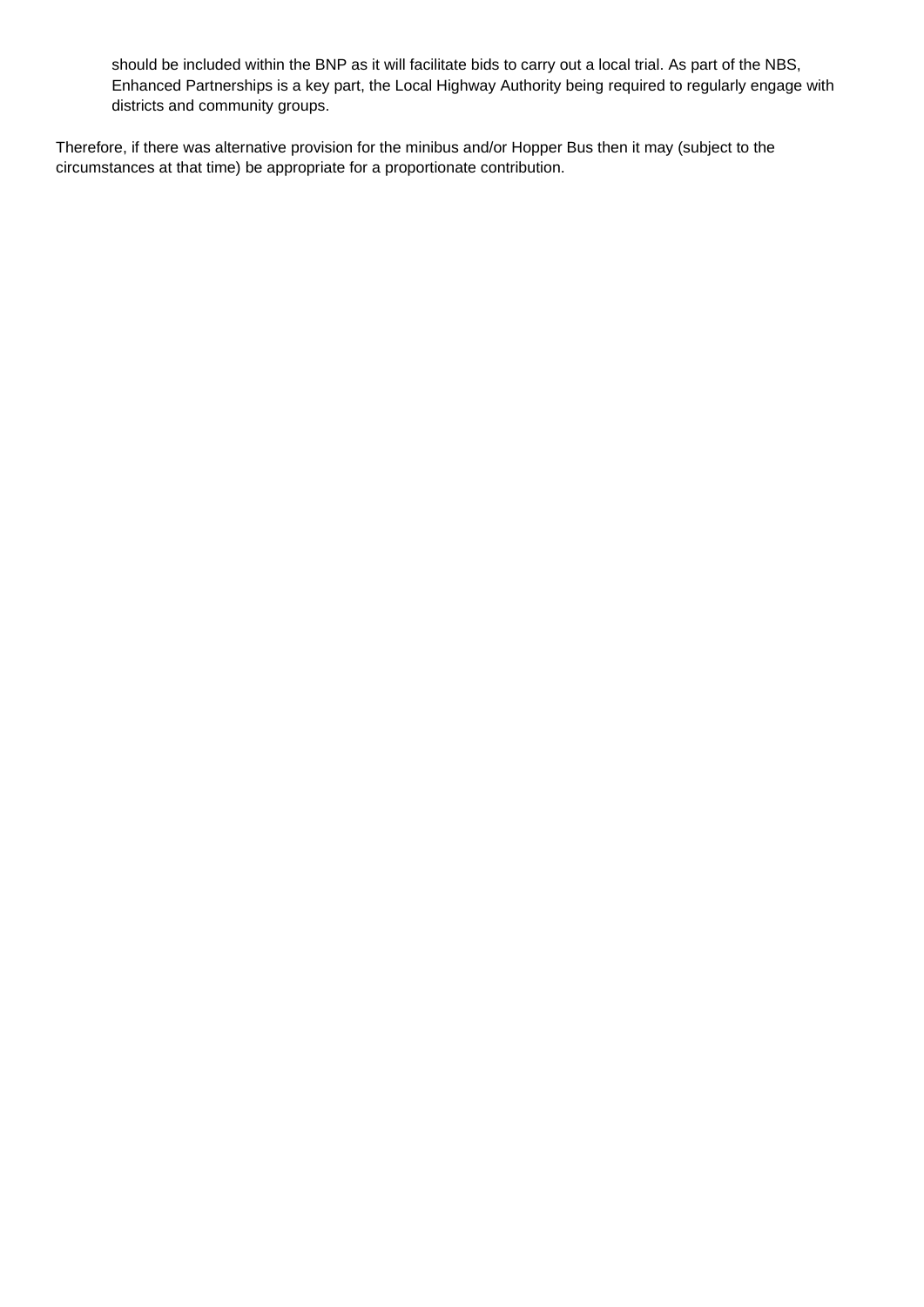should be included within the BNP as it will facilitate bids to carry out a local trial. As part of the NBS, Enhanced Partnerships is a key part, the Local Highway Authority being required to regularly engage with districts and community groups.

Therefore, if there was alternative provision for the minibus and/or Hopper Bus then it may (subject to the circumstances at that time) be appropriate for a proportionate contribution.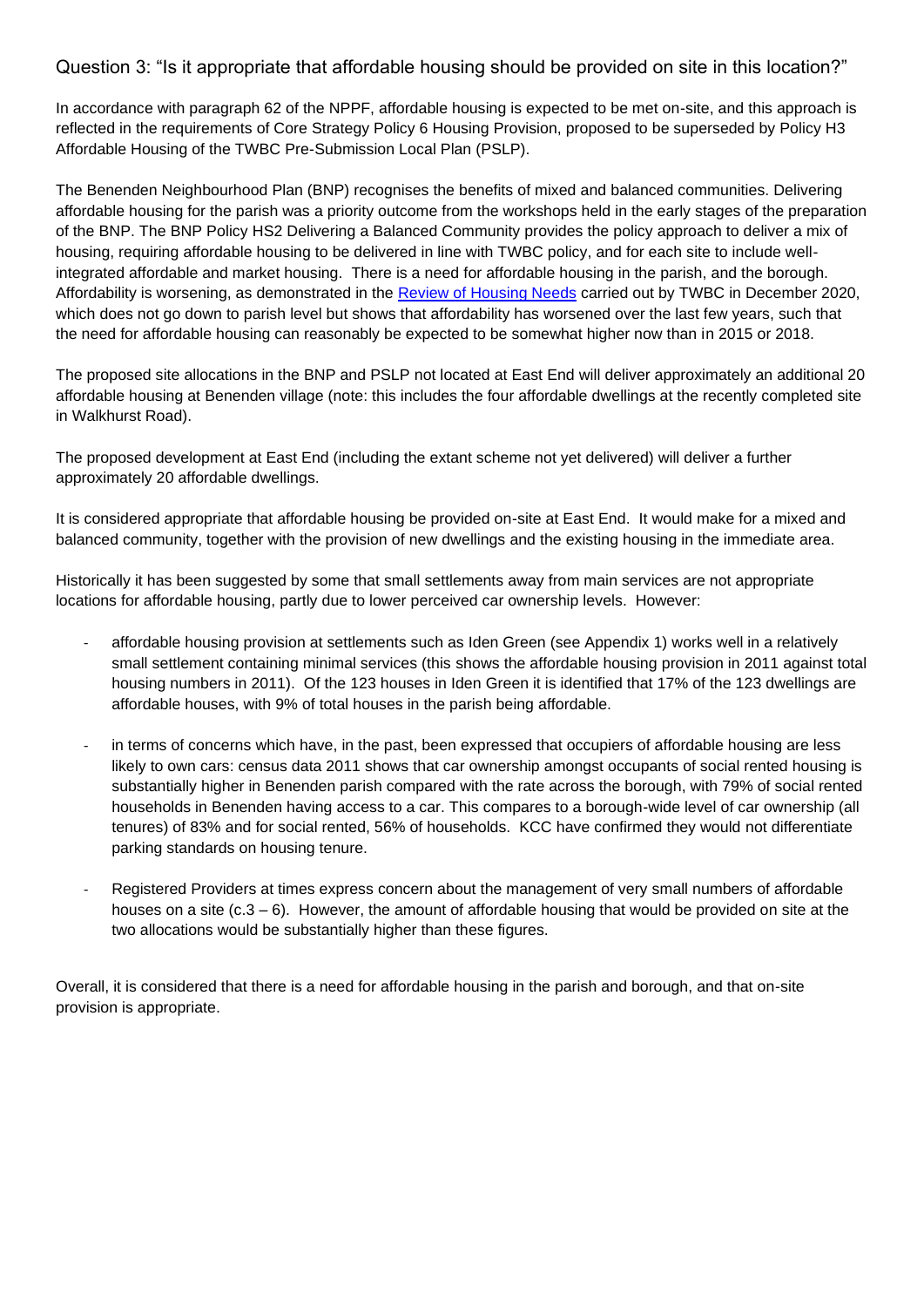Question 3: "Is it appropriate that affordable housing should be provided on site in this location?"

In accordance with paragraph 62 of the NPPF, affordable housing is expected to be met on-site, and this approach is reflected in the requirements of Core Strategy Policy 6 Housing Provision, proposed to be superseded by Policy H3 Affordable Housing of the TWBC Pre-Submission Local Plan (PSLP).

The Benenden Neighbourhood Plan (BNP) recognises the benefits of mixed and balanced communities. Delivering affordable housing for the parish was a priority outcome from the workshops held in the early stages of the preparation of the BNP. The BNP Policy HS2 Delivering a Balanced Community provides the policy approach to deliver a mix of housing, requiring affordable housing to be delivered in line with TWBC policy, and for each site to include wellintegrated affordable and market housing. There is a need for affordable housing in the parish, and the borough. Affordability is worsening, as demonstrated in the [Review of Housing Needs](https://tunbridgewells.gov.uk/__data/assets/pdf_file/0011/385319/Review-of-Local-Housing-Needs-Iceni-December-2020.pdf) carried out by TWBC in December 2020, which does not go down to parish level but shows that affordability has worsened over the last few years, such that the need for affordable housing can reasonably be expected to be somewhat higher now than in 2015 or 2018.

The proposed site allocations in the BNP and PSLP not located at East End will deliver approximately an additional 20 affordable housing at Benenden village (note: this includes the four affordable dwellings at the recently completed site in Walkhurst Road).

The proposed development at East End (including the extant scheme not yet delivered) will deliver a further approximately 20 affordable dwellings.

It is considered appropriate that affordable housing be provided on-site at East End. It would make for a mixed and balanced community, together with the provision of new dwellings and the existing housing in the immediate area.

Historically it has been suggested by some that small settlements away from main services are not appropriate locations for affordable housing, partly due to lower perceived car ownership levels. However:

- affordable housing provision at settlements such as Iden Green (see Appendix 1) works well in a relatively small settlement containing minimal services (this shows the affordable housing provision in 2011 against total housing numbers in 2011). Of the 123 houses in Iden Green it is identified that 17% of the 123 dwellings are affordable houses, with 9% of total houses in the parish being affordable.
- in terms of concerns which have, in the past, been expressed that occupiers of affordable housing are less likely to own cars: census data 2011 shows that car ownership amongst occupants of social rented housing is substantially higher in Benenden parish compared with the rate across the borough, with 79% of social rented households in Benenden having access to a car. This compares to a borough-wide level of car ownership (all tenures) of 83% and for social rented, 56% of households. KCC have confirmed they would not differentiate parking standards on housing tenure.
- Registered Providers at times express concern about the management of very small numbers of affordable houses on a site (c.3 – 6). However, the amount of affordable housing that would be provided on site at the two allocations would be substantially higher than these figures.

Overall, it is considered that there is a need for affordable housing in the parish and borough, and that on-site provision is appropriate.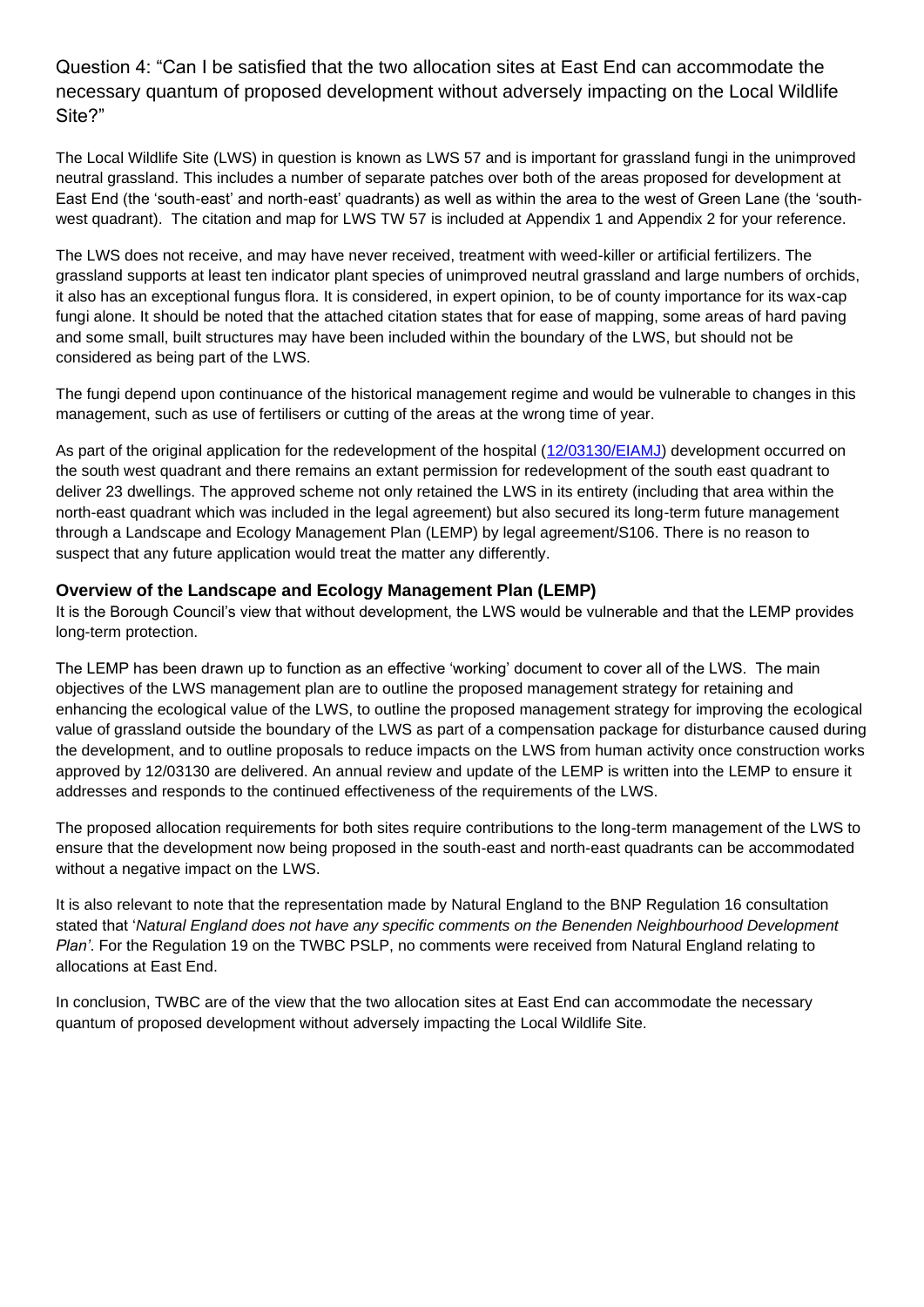Question 4: "Can I be satisfied that the two allocation sites at East End can accommodate the necessary quantum of proposed development without adversely impacting on the Local Wildlife Site?"

The Local Wildlife Site (LWS) in question is known as LWS 57 and is important for grassland fungi in the unimproved neutral grassland. This includes a number of separate patches over both of the areas proposed for development at East End (the 'south-east' and north-east' quadrants) as well as within the area to the west of Green Lane (the 'southwest quadrant). The citation and map for LWS TW 57 is included at Appendix 1 and Appendix 2 for your reference.

The LWS does not receive, and may have never received, treatment with weed-killer or artificial fertilizers. The grassland supports at least ten indicator plant species of unimproved neutral grassland and large numbers of orchids, it also has an exceptional fungus flora. It is considered, in expert opinion, to be of county importance for its wax-cap fungi alone. It should be noted that the attached citation states that for ease of mapping, some areas of hard paving and some small, built structures may have been included within the boundary of the LWS, but should not be considered as being part of the LWS.

The fungi depend upon continuance of the historical management regime and would be vulnerable to changes in this management, such as use of fertilisers or cutting of the areas at the wrong time of year.

As part of the original application for the redevelopment of the hospital [\(12/03130/EIAMJ\)](https://twbcpa.midkent.gov.uk/online-applications/applicationDetails.do?keyVal=MDFLZYBW07T00&activeTab=summary) development occurred on the south west quadrant and there remains an extant permission for redevelopment of the south east quadrant to deliver 23 dwellings. The approved scheme not only retained the LWS in its entirety (including that area within the north-east quadrant which was included in the legal agreement) but also secured its long-term future management through a Landscape and Ecology Management Plan (LEMP) by legal agreement/S106. There is no reason to suspect that any future application would treat the matter any differently.

### **Overview of the Landscape and Ecology Management Plan (LEMP)**

It is the Borough Council's view that without development, the LWS would be vulnerable and that the LEMP provides long-term protection.

The LEMP has been drawn up to function as an effective 'working' document to cover all of the LWS. The main objectives of the LWS management plan are to outline the proposed management strategy for retaining and enhancing the ecological value of the LWS, to outline the proposed management strategy for improving the ecological value of grassland outside the boundary of the LWS as part of a compensation package for disturbance caused during the development, and to outline proposals to reduce impacts on the LWS from human activity once construction works approved by 12/03130 are delivered. An annual review and update of the LEMP is written into the LEMP to ensure it addresses and responds to the continued effectiveness of the requirements of the LWS.

The proposed allocation requirements for both sites require contributions to the long-term management of the LWS to ensure that the development now being proposed in the south-east and north-east quadrants can be accommodated without a negative impact on the LWS.

It is also relevant to note that the representation made by Natural England to the BNP Regulation 16 consultation stated that '*Natural England does not have any specific comments on the Benenden Neighbourhood Development Plan'*. For the Regulation 19 on the TWBC PSLP, no comments were received from Natural England relating to allocations at East End.

In conclusion, TWBC are of the view that the two allocation sites at East End can accommodate the necessary quantum of proposed development without adversely impacting the Local Wildlife Site.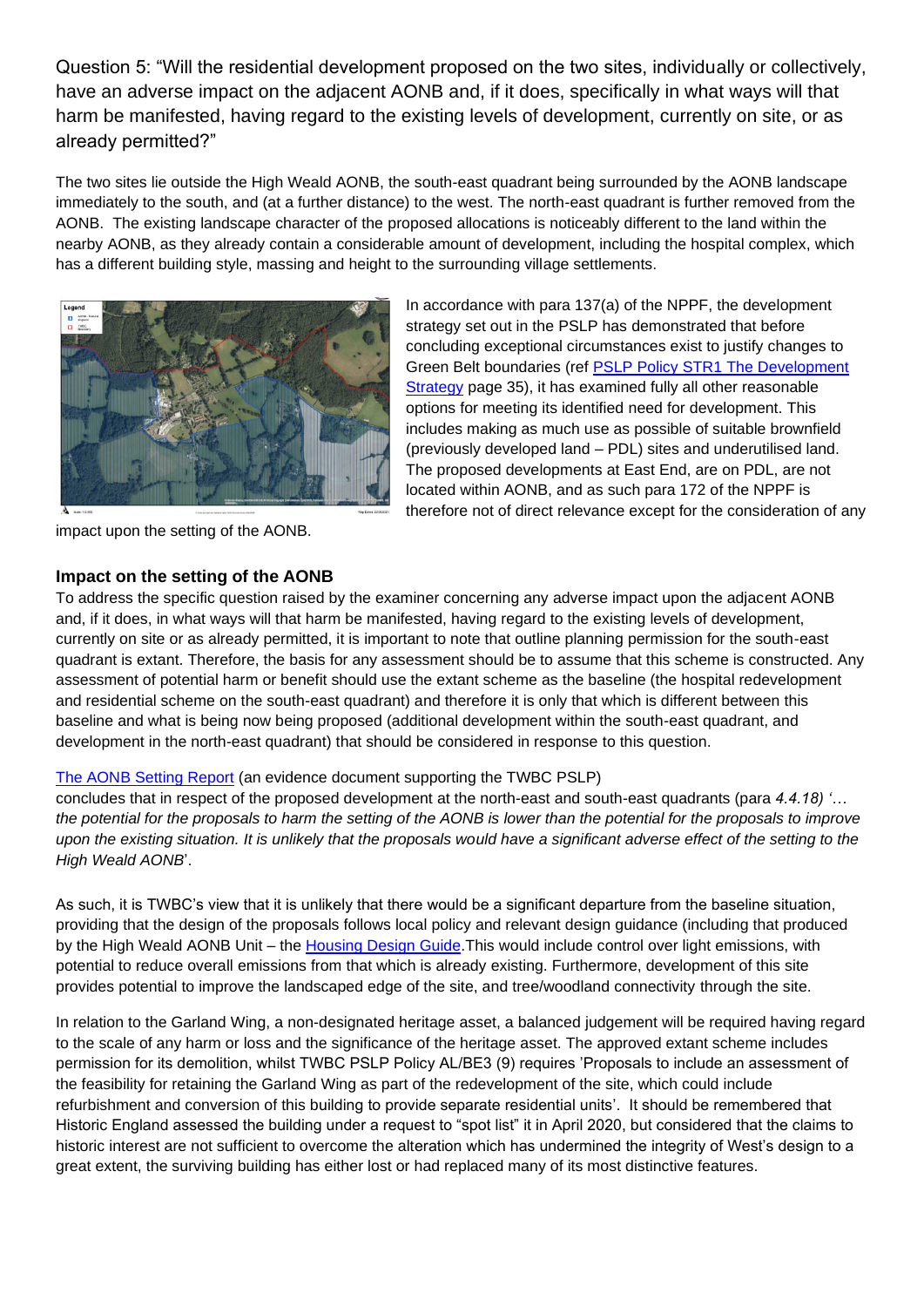Question 5: "Will the residential development proposed on the two sites, individually or collectively, have an adverse impact on the adjacent AONB and, if it does, specifically in what ways will that harm be manifested, having regard to the existing levels of development, currently on site, or as already permitted?"

The two sites lie outside the High Weald AONB, the south-east quadrant being surrounded by the AONB landscape immediately to the south, and (at a further distance) to the west. The north-east quadrant is further removed from the AONB. The existing landscape character of the proposed allocations is noticeably different to the land within the nearby AONB, as they already contain a considerable amount of development, including the hospital complex, which has a different building style, massing and height to the surrounding village settlements.



impact upon the setting of the AONB.

### **Impact on the setting of the AONB**

In accordance with para 137(a) of the NPPF, the development strategy set out in the PSLP has demonstrated that before concluding exceptional circumstances exist to justify changes to Green Belt boundaries (ref [PSLP Policy STR1 The Development](https://tunbridgewells.gov.uk/__data/assets/pdf_file/0010/387793/Pre-Submission-Local-Plan_final-compressed.pdf)  [Strategy](https://tunbridgewells.gov.uk/__data/assets/pdf_file/0010/387793/Pre-Submission-Local-Plan_final-compressed.pdf) page 35), it has examined fully all other reasonable options for meeting its identified need for development. This includes making as much use as possible of suitable brownfield (previously developed land – PDL) sites and underutilised land. The proposed developments at East End, are on PDL, are not located within AONB, and as such para 172 of the NPPF is therefore not of direct relevance except for the consideration of any

To address the specific question raised by the examiner concerning any adverse impact upon the adjacent AONB and, if it does, in what ways will that harm be manifested, having regard to the existing levels of development, currently on site or as already permitted, it is important to note that outline planning permission for the south-east quadrant is extant. Therefore, the basis for any assessment should be to assume that this scheme is constructed. Any assessment of potential harm or benefit should use the extant scheme as the baseline (the hospital redevelopment and residential scheme on the south-east quadrant) and therefore it is only that which is different between this baseline and what is being now being proposed (additional development within the south-east quadrant, and development in the north-east quadrant) that should be considered in response to this question.

#### [The AONB Setting Report](https://tunbridgewells.gov.uk/__data/assets/pdf_file/0019/385300/AONB-Setting-Analysis_main-report.pdf) (an evidence document supporting the TWBC PSLP)

concludes that in respect of the proposed development at the north-east and south-east quadrants (para *4.4.18) '… the potential for the proposals to harm the setting of the AONB is lower than the potential for the proposals to improve*  upon the existing situation. It is unlikely that the proposals would have a significant adverse effect of the setting to the *High Weald AONB*'.

As such, it is TWBC's view that it is unlikely that there would be a significant departure from the baseline situation, providing that the design of the proposals follows local policy and relevant design guidance (including that produced by the High Weald AONB Unit – the [Housing Design Guide.T](http://www.highweald.org/downloads/publications/2348-high-weald-design-guide-final/file.html)his would include control over light emissions, with potential to reduce overall emissions from that which is already existing. Furthermore, development of this site provides potential to improve the landscaped edge of the site, and tree/woodland connectivity through the site.

In relation to the Garland Wing, a non-designated heritage asset, a balanced judgement will be required having regard to the scale of any harm or loss and the significance of the heritage asset. The approved extant scheme includes permission for its demolition, whilst TWBC PSLP Policy AL/BE3 (9) requires 'Proposals to include an assessment of the feasibility for retaining the Garland Wing as part of the redevelopment of the site, which could include refurbishment and conversion of this building to provide separate residential units'. It should be remembered that Historic England assessed the building under a request to "spot list" it in April 2020, but considered that the claims to historic interest are not sufficient to overcome the alteration which has undermined the integrity of West's design to a great extent, the surviving building has either lost or had replaced many of its most distinctive features.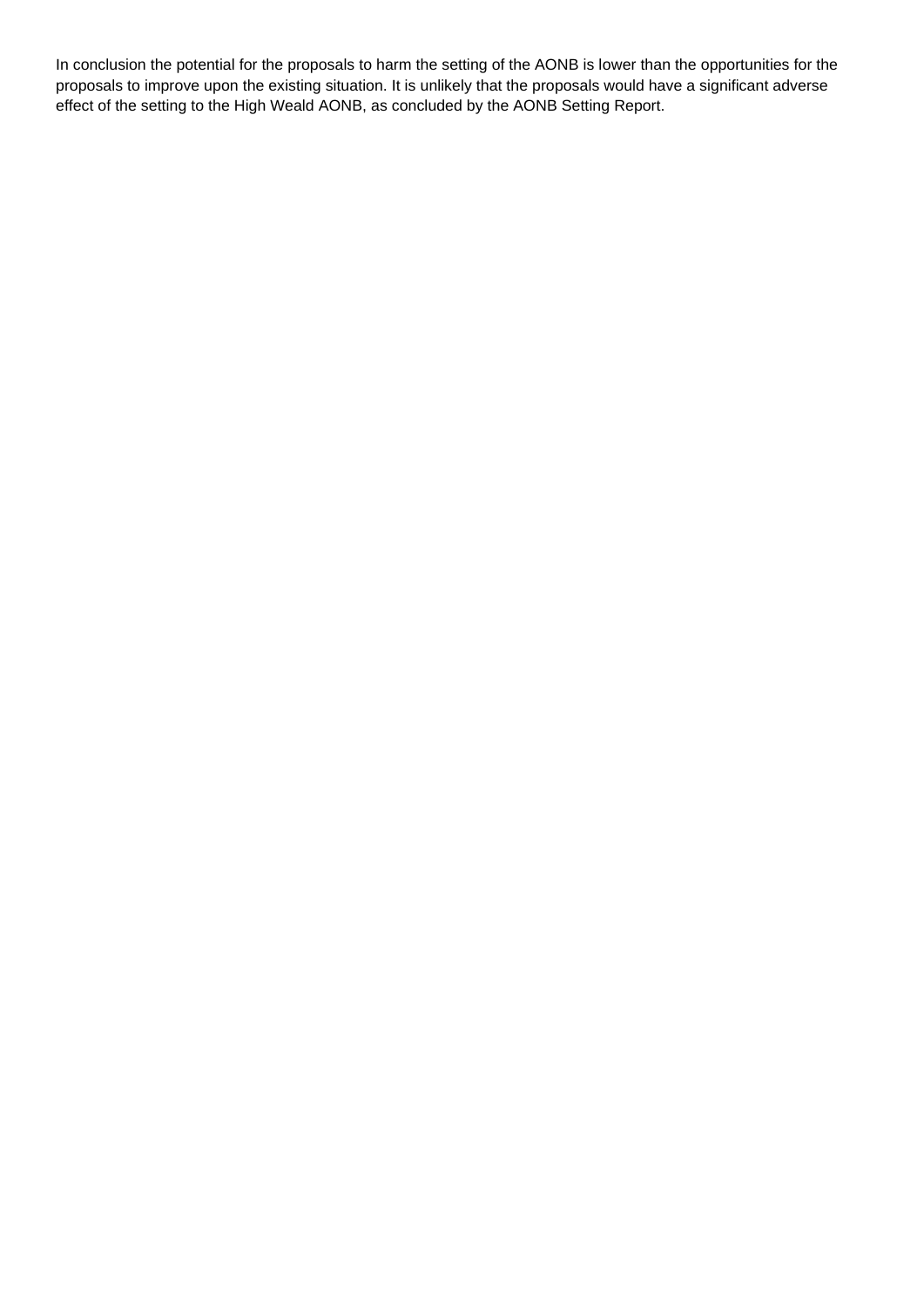In conclusion the potential for the proposals to harm the setting of the AONB is lower than the opportunities for the proposals to improve upon the existing situation. It is unlikely that the proposals would have a significant adverse effect of the setting to the High Weald AONB, as concluded by the AONB Setting Report.